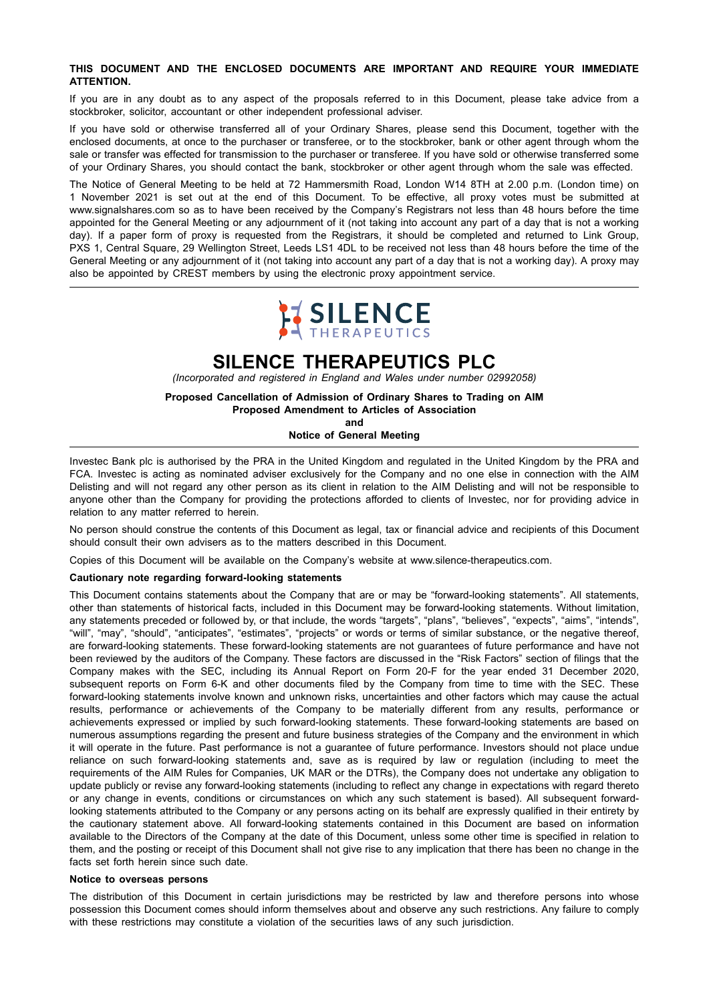#### **THIS DOCUMENT AND THE ENCLOSED DOCUMENTS ARE IMPORTANT AND REQUIRE YOUR IMMEDIATE ATTENTION.**

If you are in any doubt as to any aspect of the proposals referred to in this Document, please take advice from a stockbroker, solicitor, accountant or other independent professional adviser.

If you have sold or otherwise transferred all of your Ordinary Shares, please send this Document, together with the enclosed documents, at once to the purchaser or transferee, or to the stockbroker, bank or other agent through whom the sale or transfer was effected for transmission to the purchaser or transferee. If you have sold or otherwise transferred some of your Ordinary Shares, you should contact the bank, stockbroker or other agent through whom the sale was effected.

The Notice of General Meeting to be held at 72 Hammersmith Road, London W14 8TH at 2.00 p.m. (London time) on 1 November 2021 is set out at the end of this Document. To be effective, all proxy votes must be submitted at www.signalshares.com so as to have been received by the Company's Registrars not less than 48 hours before the time appointed for the General Meeting or any adjournment of it (not taking into account any part of a day that is not a working day). If a paper form of proxy is requested from the Registrars, it should be completed and returned to Link Group, PXS 1, Central Square, 29 Wellington Street, Leeds LS1 4DL to be received not less than 48 hours before the time of the General Meeting or any adjournment of it (not taking into account any part of a day that is not a working day). A proxy may also be appointed by CREST members by using the electronic proxy appointment service.



# **SILENCE THERAPEUTICS PLC**

*(Incorporated and registered in England and Wales under number 02992058)*

**Proposed Cancellation of Admission of Ordinary Shares to Trading on AIM Proposed Amendment to Articles of Association and**

**Notice of General Meeting**

Investec Bank plc is authorised by the PRA in the United Kingdom and regulated in the United Kingdom by the PRA and FCA. Investec is acting as nominated adviser exclusively for the Company and no one else in connection with the AIM Delisting and will not regard any other person as its client in relation to the AIM Delisting and will not be responsible to anyone other than the Company for providing the protections afforded to clients of Investec, nor for providing advice in relation to any matter referred to herein.

No person should construe the contents of this Document as legal, tax or financial advice and recipients of this Document should consult their own advisers as to the matters described in this Document.

Copies of this Document will be available on the Company's website at www.silence-therapeutics.com.

#### **Cautionary note regarding forward-looking statements**

This Document contains statements about the Company that are or may be "forward-looking statements". All statements, other than statements of historical facts, included in this Document may be forward-looking statements. Without limitation, any statements preceded or followed by, or that include, the words "targets", "plans", "believes", "expects", "aims", "intends", "will", "may", "should", "anticipates", "estimates", "projects" or words or terms of similar substance, or the negative thereof, are forward-looking statements. These forward-looking statements are not guarantees of future performance and have not been reviewed by the auditors of the Company. These factors are discussed in the "Risk Factors" section of filings that the Company makes with the SEC, including its Annual Report on Form 20-F for the year ended 31 December 2020, subsequent reports on Form 6-K and other documents filed by the Company from time to time with the SEC. These forward-looking statements involve known and unknown risks, uncertainties and other factors which may cause the actual results, performance or achievements of the Company to be materially different from any results, performance or achievements expressed or implied by such forward-looking statements. These forward-looking statements are based on numerous assumptions regarding the present and future business strategies of the Company and the environment in which it will operate in the future. Past performance is not a guarantee of future performance. Investors should not place undue reliance on such forward-looking statements and, save as is required by law or regulation (including to meet the requirements of the AIM Rules for Companies, UK MAR or the DTRs), the Company does not undertake any obligation to update publicly or revise any forward-looking statements (including to reflect any change in expectations with regard thereto or any change in events, conditions or circumstances on which any such statement is based). All subsequent forwardlooking statements attributed to the Company or any persons acting on its behalf are expressly qualified in their entirety by the cautionary statement above. All forward-looking statements contained in this Document are based on information available to the Directors of the Company at the date of this Document, unless some other time is specified in relation to them, and the posting or receipt of this Document shall not give rise to any implication that there has been no change in the facts set forth herein since such date.

#### **Notice to overseas persons**

The distribution of this Document in certain jurisdictions may be restricted by law and therefore persons into whose possession this Document comes should inform themselves about and observe any such restrictions. Any failure to comply with these restrictions may constitute a violation of the securities laws of any such jurisdiction.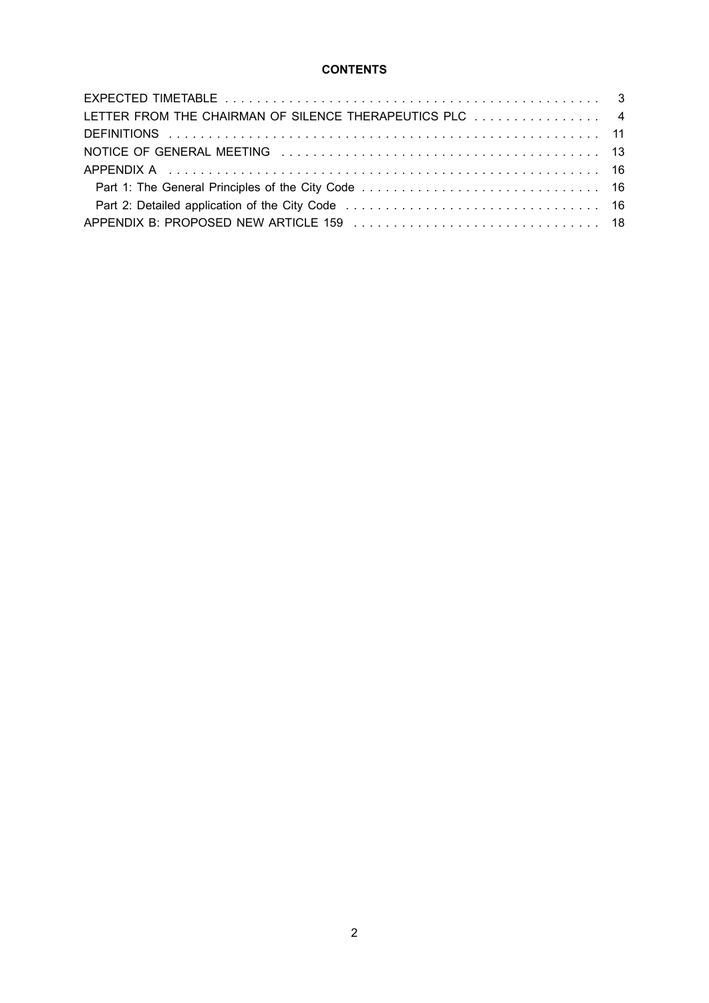## **CONTENTS**

| LETTER FROM THE CHAIRMAN OF SILENCE THERAPEUTICS PLC 4 |  |
|--------------------------------------------------------|--|
|                                                        |  |
|                                                        |  |
|                                                        |  |
|                                                        |  |
|                                                        |  |
|                                                        |  |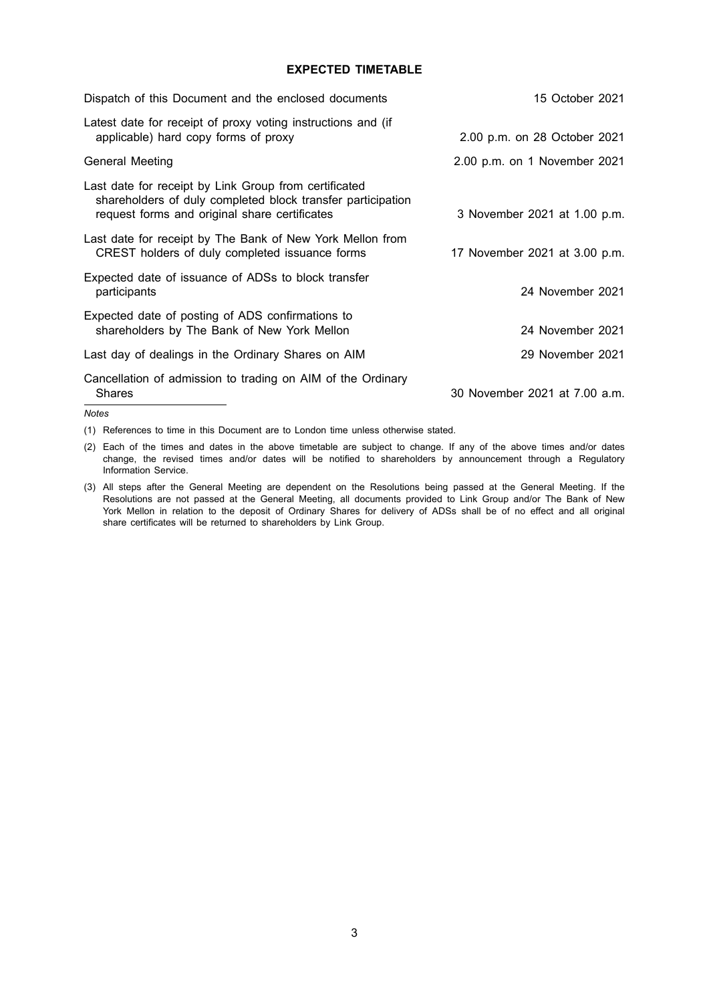## **EXPECTED TIMETABLE**

| Dispatch of this Document and the enclosed documents                                                                                                                  | 15 October 2021               |
|-----------------------------------------------------------------------------------------------------------------------------------------------------------------------|-------------------------------|
| Latest date for receipt of proxy voting instructions and (if<br>applicable) hard copy forms of proxy                                                                  | 2.00 p.m. on 28 October 2021  |
| General Meeting                                                                                                                                                       | 2.00 p.m. on 1 November 2021  |
| Last date for receipt by Link Group from certificated<br>shareholders of duly completed block transfer participation<br>request forms and original share certificates | 3 November 2021 at 1.00 p.m.  |
| Last date for receipt by The Bank of New York Mellon from<br>CREST holders of duly completed issuance forms                                                           | 17 November 2021 at 3.00 p.m. |
| Expected date of issuance of ADSs to block transfer<br>participants                                                                                                   | 24 November 2021              |
| Expected date of posting of ADS confirmations to<br>shareholders by The Bank of New York Mellon                                                                       | 24 November 2021              |
| Last day of dealings in the Ordinary Shares on AIM                                                                                                                    | 29 November 2021              |
| Cancellation of admission to trading on AIM of the Ordinary<br><b>Shares</b>                                                                                          | 30 November 2021 at 7.00 a.m. |
| $\lambda$ lata a                                                                                                                                                      |                               |

*Notes*

(1) References to time in this Document are to London time unless otherwise stated.

(2) Each of the times and dates in the above timetable are subject to change. If any of the above times and/or dates change, the revised times and/or dates will be notified to shareholders by announcement through a Regulatory Information Service.

<sup>(3)</sup> All steps after the General Meeting are dependent on the Resolutions being passed at the General Meeting. If the Resolutions are not passed at the General Meeting, all documents provided to Link Group and/or The Bank of New York Mellon in relation to the deposit of Ordinary Shares for delivery of ADSs shall be of no effect and all original share certificates will be returned to shareholders by Link Group.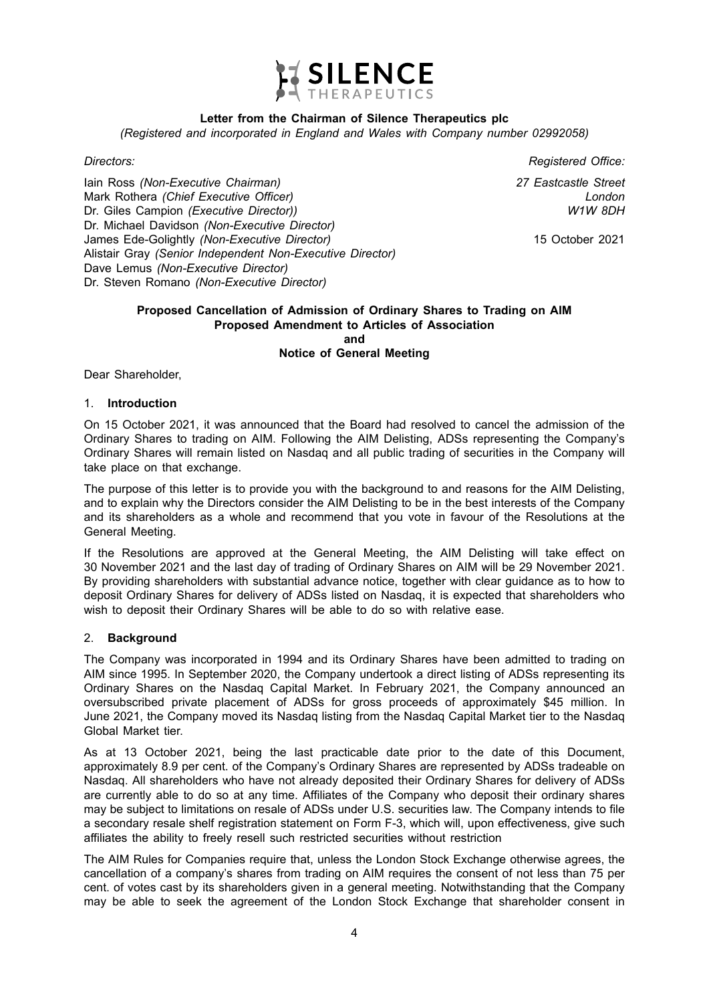

## **Letter from the Chairman of Silence Therapeutics plc**

*(Registered and incorporated in England and Wales with Company number 02992058)*

Iain Ross *(Non-Executive Chairman)* Mark Rothera *(Chief Executive Officer)* Dr. Giles Campion *(Executive Director))* Dr. Michael Davidson *(Non-Executive Director)* James Ede-Golightly *(Non-Executive Director)* Alistair Gray *(Senior Independent Non-Executive Director)* Dave Lemus *(Non-Executive Director)* Dr. Steven Romano *(Non-Executive Director)*

*Directors: Registered Office:*

*27 Eastcastle Street London W1W 8DH*

15 October 2021

#### **Proposed Cancellation of Admission of Ordinary Shares to Trading on AIM Proposed Amendment to Articles of Association and Notice of General Meeting**

Dear Shareholder,

#### 1. **Introduction**

On 15 October 2021, it was announced that the Board had resolved to cancel the admission of the Ordinary Shares to trading on AIM. Following the AIM Delisting, ADSs representing the Company's Ordinary Shares will remain listed on Nasdaq and all public trading of securities in the Company will take place on that exchange.

The purpose of this letter is to provide you with the background to and reasons for the AIM Delisting, and to explain why the Directors consider the AIM Delisting to be in the best interests of the Company and its shareholders as a whole and recommend that you vote in favour of the Resolutions at the General Meeting.

If the Resolutions are approved at the General Meeting, the AIM Delisting will take effect on 30 November 2021 and the last day of trading of Ordinary Shares on AIM will be 29 November 2021. By providing shareholders with substantial advance notice, together with clear guidance as to how to deposit Ordinary Shares for delivery of ADSs listed on Nasdaq, it is expected that shareholders who wish to deposit their Ordinary Shares will be able to do so with relative ease.

#### 2. **Background**

The Company was incorporated in 1994 and its Ordinary Shares have been admitted to trading on AIM since 1995. In September 2020, the Company undertook a direct listing of ADSs representing its Ordinary Shares on the Nasdaq Capital Market. In February 2021, the Company announced an oversubscribed private placement of ADSs for gross proceeds of approximately \$45 million. In June 2021, the Company moved its Nasdaq listing from the Nasdaq Capital Market tier to the Nasdaq Global Market tier.

As at 13 October 2021, being the last practicable date prior to the date of this Document, approximately 8.9 per cent. of the Company's Ordinary Shares are represented by ADSs tradeable on Nasdaq. All shareholders who have not already deposited their Ordinary Shares for delivery of ADSs are currently able to do so at any time. Affiliates of the Company who deposit their ordinary shares may be subject to limitations on resale of ADSs under U.S. securities law. The Company intends to file a secondary resale shelf registration statement on Form F-3, which will, upon effectiveness, give such affiliates the ability to freely resell such restricted securities without restriction

The AIM Rules for Companies require that, unless the London Stock Exchange otherwise agrees, the cancellation of a company's shares from trading on AIM requires the consent of not less than 75 per cent. of votes cast by its shareholders given in a general meeting. Notwithstanding that the Company may be able to seek the agreement of the London Stock Exchange that shareholder consent in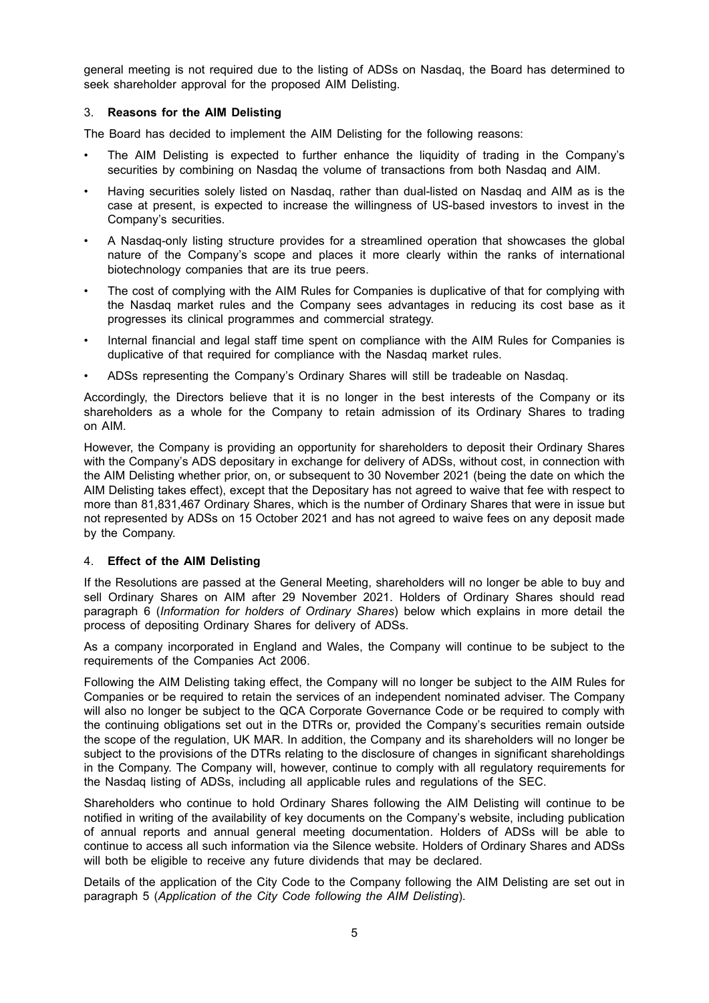general meeting is not required due to the listing of ADSs on Nasdaq, the Board has determined to seek shareholder approval for the proposed AIM Delisting.

## 3. **Reasons for the AIM Delisting**

The Board has decided to implement the AIM Delisting for the following reasons:

- The AIM Delisting is expected to further enhance the liquidity of trading in the Company's securities by combining on Nasdaq the volume of transactions from both Nasdaq and AIM.
- Having securities solely listed on Nasdaq, rather than dual-listed on Nasdaq and AIM as is the case at present, is expected to increase the willingness of US-based investors to invest in the Company's securities.
- A Nasdaq-only listing structure provides for a streamlined operation that showcases the global nature of the Company's scope and places it more clearly within the ranks of international biotechnology companies that are its true peers.
- The cost of complying with the AIM Rules for Companies is duplicative of that for complying with the Nasdaq market rules and the Company sees advantages in reducing its cost base as it progresses its clinical programmes and commercial strategy.
- Internal financial and legal staff time spent on compliance with the AIM Rules for Companies is duplicative of that required for compliance with the Nasdaq market rules.
- ADSs representing the Company's Ordinary Shares will still be tradeable on Nasdaq.

Accordingly, the Directors believe that it is no longer in the best interests of the Company or its shareholders as a whole for the Company to retain admission of its Ordinary Shares to trading on AIM.

However, the Company is providing an opportunity for shareholders to deposit their Ordinary Shares with the Company's ADS depositary in exchange for delivery of ADSs, without cost, in connection with the AIM Delisting whether prior, on, or subsequent to 30 November 2021 (being the date on which the AIM Delisting takes effect), except that the Depositary has not agreed to waive that fee with respect to more than 81,831,467 Ordinary Shares, which is the number of Ordinary Shares that were in issue but not represented by ADSs on 15 October 2021 and has not agreed to waive fees on any deposit made by the Company.

## 4. **Effect of the AIM Delisting**

If the Resolutions are passed at the General Meeting, shareholders will no longer be able to buy and sell Ordinary Shares on AIM after 29 November 2021. Holders of Ordinary Shares should read paragraph 6 (*Information for holders of Ordinary Shares*) below which explains in more detail the process of depositing Ordinary Shares for delivery of ADSs.

As a company incorporated in England and Wales, the Company will continue to be subject to the requirements of the Companies Act 2006.

Following the AIM Delisting taking effect, the Company will no longer be subject to the AIM Rules for Companies or be required to retain the services of an independent nominated adviser. The Company will also no longer be subject to the QCA Corporate Governance Code or be required to comply with the continuing obligations set out in the DTRs or, provided the Company's securities remain outside the scope of the regulation, UK MAR. In addition, the Company and its shareholders will no longer be subject to the provisions of the DTRs relating to the disclosure of changes in significant shareholdings in the Company. The Company will, however, continue to comply with all regulatory requirements for the Nasdaq listing of ADSs, including all applicable rules and regulations of the SEC.

Shareholders who continue to hold Ordinary Shares following the AIM Delisting will continue to be notified in writing of the availability of key documents on the Company's website, including publication of annual reports and annual general meeting documentation. Holders of ADSs will be able to continue to access all such information via the Silence website. Holders of Ordinary Shares and ADSs will both be eligible to receive any future dividends that may be declared.

Details of the application of the City Code to the Company following the AIM Delisting are set out in paragraph 5 (*Application of the City Code following the AIM Delisting*).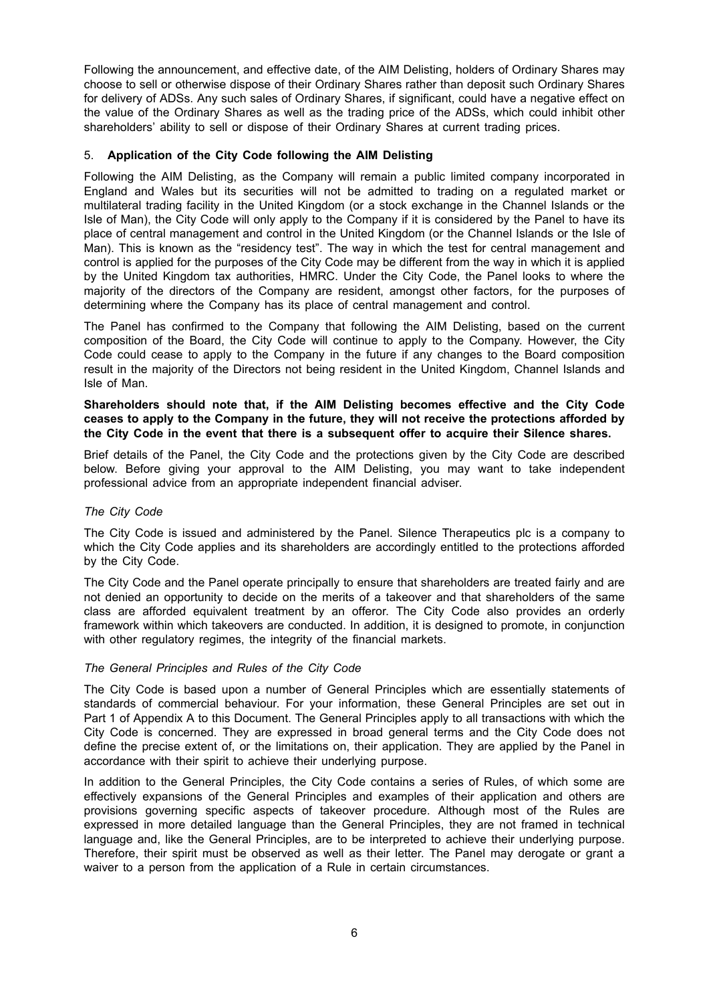Following the announcement, and effective date, of the AIM Delisting, holders of Ordinary Shares may choose to sell or otherwise dispose of their Ordinary Shares rather than deposit such Ordinary Shares for delivery of ADSs. Any such sales of Ordinary Shares, if significant, could have a negative effect on the value of the Ordinary Shares as well as the trading price of the ADSs, which could inhibit other shareholders' ability to sell or dispose of their Ordinary Shares at current trading prices.

## 5. **Application of the City Code following the AIM Delisting**

Following the AIM Delisting, as the Company will remain a public limited company incorporated in England and Wales but its securities will not be admitted to trading on a regulated market or multilateral trading facility in the United Kingdom (or a stock exchange in the Channel Islands or the Isle of Man), the City Code will only apply to the Company if it is considered by the Panel to have its place of central management and control in the United Kingdom (or the Channel Islands or the Isle of Man). This is known as the "residency test". The way in which the test for central management and control is applied for the purposes of the City Code may be different from the way in which it is applied by the United Kingdom tax authorities, HMRC. Under the City Code, the Panel looks to where the majority of the directors of the Company are resident, amongst other factors, for the purposes of determining where the Company has its place of central management and control.

The Panel has confirmed to the Company that following the AIM Delisting, based on the current composition of the Board, the City Code will continue to apply to the Company. However, the City Code could cease to apply to the Company in the future if any changes to the Board composition result in the majority of the Directors not being resident in the United Kingdom, Channel Islands and Isle of Man.

## **Shareholders should note that, if the AIM Delisting becomes effective and the City Code ceases to apply to the Company in the future, they will not receive the protections afforded by the City Code in the event that there is a subsequent offer to acquire their Silence shares.**

Brief details of the Panel, the City Code and the protections given by the City Code are described below. Before giving your approval to the AIM Delisting, you may want to take independent professional advice from an appropriate independent financial adviser.

#### *The City Code*

The City Code is issued and administered by the Panel. Silence Therapeutics plc is a company to which the City Code applies and its shareholders are accordingly entitled to the protections afforded by the City Code.

The City Code and the Panel operate principally to ensure that shareholders are treated fairly and are not denied an opportunity to decide on the merits of a takeover and that shareholders of the same class are afforded equivalent treatment by an offeror. The City Code also provides an orderly framework within which takeovers are conducted. In addition, it is designed to promote, in conjunction with other regulatory regimes, the integrity of the financial markets.

#### *The General Principles and Rules of the City Code*

The City Code is based upon a number of General Principles which are essentially statements of standards of commercial behaviour. For your information, these General Principles are set out in Part 1 of Appendix A to this Document. The General Principles apply to all transactions with which the City Code is concerned. They are expressed in broad general terms and the City Code does not define the precise extent of, or the limitations on, their application. They are applied by the Panel in accordance with their spirit to achieve their underlying purpose.

In addition to the General Principles, the City Code contains a series of Rules, of which some are effectively expansions of the General Principles and examples of their application and others are provisions governing specific aspects of takeover procedure. Although most of the Rules are expressed in more detailed language than the General Principles, they are not framed in technical language and, like the General Principles, are to be interpreted to achieve their underlying purpose. Therefore, their spirit must be observed as well as their letter. The Panel may derogate or grant a waiver to a person from the application of a Rule in certain circumstances.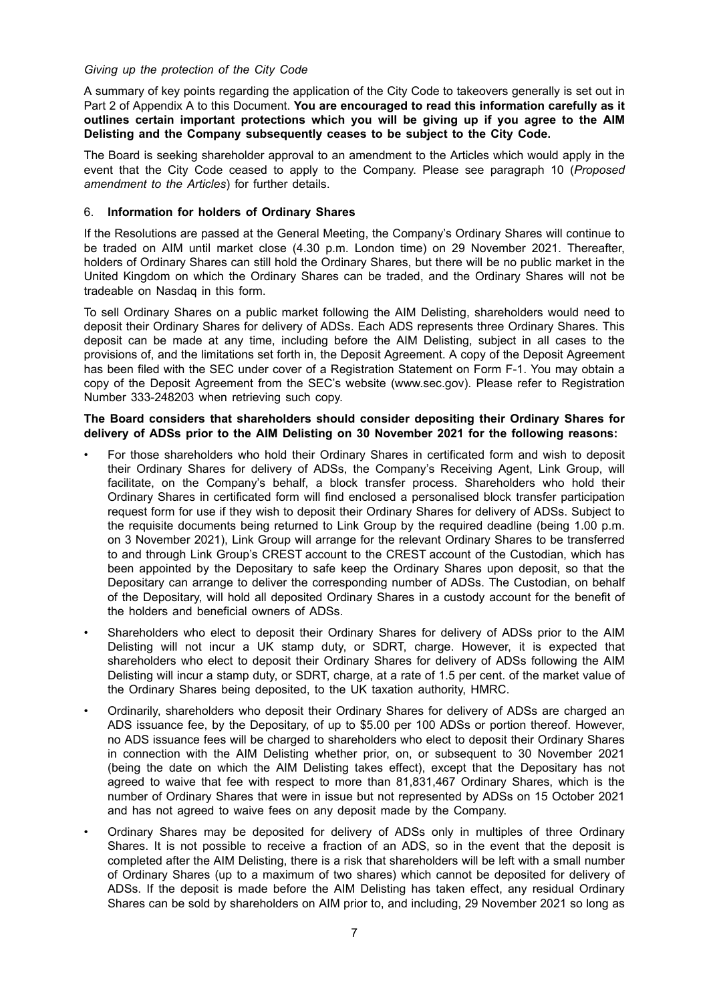## *Giving up the protection of the City Code*

A summary of key points regarding the application of the City Code to takeovers generally is set out in Part 2 of Appendix A to this Document. **You are encouraged to read this information carefully as it outlines certain important protections which you will be giving up if you agree to the AIM Delisting and the Company subsequently ceases to be subject to the City Code.**

The Board is seeking shareholder approval to an amendment to the Articles which would apply in the event that the City Code ceased to apply to the Company. Please see paragraph 10 (*Proposed amendment to the Articles*) for further details.

## 6. **Information for holders of Ordinary Shares**

If the Resolutions are passed at the General Meeting, the Company's Ordinary Shares will continue to be traded on AIM until market close (4.30 p.m. London time) on 29 November 2021. Thereafter, holders of Ordinary Shares can still hold the Ordinary Shares, but there will be no public market in the United Kingdom on which the Ordinary Shares can be traded, and the Ordinary Shares will not be tradeable on Nasdaq in this form.

To sell Ordinary Shares on a public market following the AIM Delisting, shareholders would need to deposit their Ordinary Shares for delivery of ADSs. Each ADS represents three Ordinary Shares. This deposit can be made at any time, including before the AIM Delisting, subject in all cases to the provisions of, and the limitations set forth in, the Deposit Agreement. A copy of the Deposit Agreement has been filed with the SEC under cover of a Registration Statement on Form F-1. You may obtain a copy of the Deposit Agreement from the SEC's website (www.sec.gov). Please refer to Registration Number 333-248203 when retrieving such copy.

#### **The Board considers that shareholders should consider depositing their Ordinary Shares for delivery of ADSs prior to the AIM Delisting on 30 November 2021 for the following reasons:**

- For those shareholders who hold their Ordinary Shares in certificated form and wish to deposit their Ordinary Shares for delivery of ADSs, the Company's Receiving Agent, Link Group, will facilitate, on the Company's behalf, a block transfer process. Shareholders who hold their Ordinary Shares in certificated form will find enclosed a personalised block transfer participation request form for use if they wish to deposit their Ordinary Shares for delivery of ADSs. Subject to the requisite documents being returned to Link Group by the required deadline (being 1.00 p.m. on 3 November 2021), Link Group will arrange for the relevant Ordinary Shares to be transferred to and through Link Group's CREST account to the CREST account of the Custodian, which has been appointed by the Depositary to safe keep the Ordinary Shares upon deposit, so that the Depositary can arrange to deliver the corresponding number of ADSs. The Custodian, on behalf of the Depositary, will hold all deposited Ordinary Shares in a custody account for the benefit of the holders and beneficial owners of ADSs.
- Shareholders who elect to deposit their Ordinary Shares for delivery of ADSs prior to the AIM Delisting will not incur a UK stamp duty, or SDRT, charge. However, it is expected that shareholders who elect to deposit their Ordinary Shares for delivery of ADSs following the AIM Delisting will incur a stamp duty, or SDRT, charge, at a rate of 1.5 per cent. of the market value of the Ordinary Shares being deposited, to the UK taxation authority, HMRC.
- Ordinarily, shareholders who deposit their Ordinary Shares for delivery of ADSs are charged an ADS issuance fee, by the Depositary, of up to \$5.00 per 100 ADSs or portion thereof. However, no ADS issuance fees will be charged to shareholders who elect to deposit their Ordinary Shares in connection with the AIM Delisting whether prior, on, or subsequent to 30 November 2021 (being the date on which the AIM Delisting takes effect), except that the Depositary has not agreed to waive that fee with respect to more than 81,831,467 Ordinary Shares, which is the number of Ordinary Shares that were in issue but not represented by ADSs on 15 October 2021 and has not agreed to waive fees on any deposit made by the Company.
- Ordinary Shares may be deposited for delivery of ADSs only in multiples of three Ordinary Shares. It is not possible to receive a fraction of an ADS, so in the event that the deposit is completed after the AIM Delisting, there is a risk that shareholders will be left with a small number of Ordinary Shares (up to a maximum of two shares) which cannot be deposited for delivery of ADSs. If the deposit is made before the AIM Delisting has taken effect, any residual Ordinary Shares can be sold by shareholders on AIM prior to, and including, 29 November 2021 so long as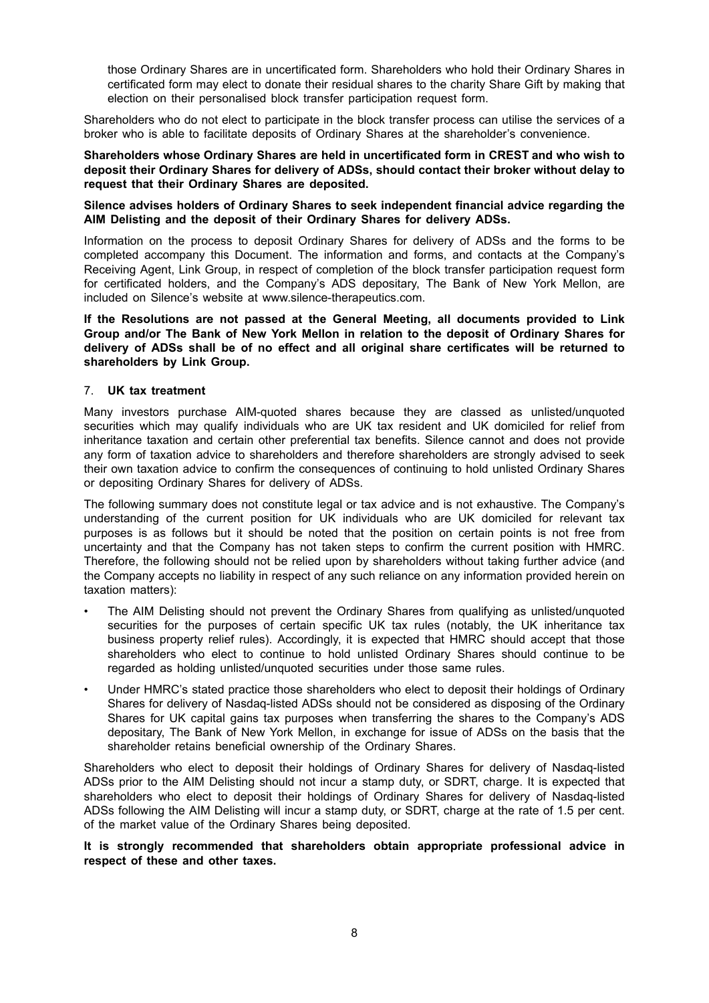those Ordinary Shares are in uncertificated form. Shareholders who hold their Ordinary Shares in certificated form may elect to donate their residual shares to the charity Share Gift by making that election on their personalised block transfer participation request form.

Shareholders who do not elect to participate in the block transfer process can utilise the services of a broker who is able to facilitate deposits of Ordinary Shares at the shareholder's convenience.

#### **Shareholders whose Ordinary Shares are held in uncertificated form in CREST and who wish to deposit their Ordinary Shares for delivery of ADSs, should contact their broker without delay to request that their Ordinary Shares are deposited.**

### **Silence advises holders of Ordinary Shares to seek independent financial advice regarding the AIM Delisting and the deposit of their Ordinary Shares for delivery ADSs.**

Information on the process to deposit Ordinary Shares for delivery of ADSs and the forms to be completed accompany this Document. The information and forms, and contacts at the Company's Receiving Agent, Link Group, in respect of completion of the block transfer participation request form for certificated holders, and the Company's ADS depositary, The Bank of New York Mellon, are included on Silence's website at www.silence-therapeutics.com.

**If the Resolutions are not passed at the General Meeting, all documents provided to Link Group and/or The Bank of New York Mellon in relation to the deposit of Ordinary Shares for delivery of ADSs shall be of no effect and all original share certificates will be returned to shareholders by Link Group.**

## 7. **UK tax treatment**

Many investors purchase AIM-quoted shares because they are classed as unlisted/unquoted securities which may qualify individuals who are UK tax resident and UK domiciled for relief from inheritance taxation and certain other preferential tax benefits. Silence cannot and does not provide any form of taxation advice to shareholders and therefore shareholders are strongly advised to seek their own taxation advice to confirm the consequences of continuing to hold unlisted Ordinary Shares or depositing Ordinary Shares for delivery of ADSs.

The following summary does not constitute legal or tax advice and is not exhaustive. The Company's understanding of the current position for UK individuals who are UK domiciled for relevant tax purposes is as follows but it should be noted that the position on certain points is not free from uncertainty and that the Company has not taken steps to confirm the current position with HMRC. Therefore, the following should not be relied upon by shareholders without taking further advice (and the Company accepts no liability in respect of any such reliance on any information provided herein on taxation matters):

- The AIM Delisting should not prevent the Ordinary Shares from qualifying as unlisted/unquoted securities for the purposes of certain specific UK tax rules (notably, the UK inheritance tax business property relief rules). Accordingly, it is expected that HMRC should accept that those shareholders who elect to continue to hold unlisted Ordinary Shares should continue to be regarded as holding unlisted/unquoted securities under those same rules.
- Under HMRC's stated practice those shareholders who elect to deposit their holdings of Ordinary Shares for delivery of Nasdaq-listed ADSs should not be considered as disposing of the Ordinary Shares for UK capital gains tax purposes when transferring the shares to the Company's ADS depositary, The Bank of New York Mellon, in exchange for issue of ADSs on the basis that the shareholder retains beneficial ownership of the Ordinary Shares.

Shareholders who elect to deposit their holdings of Ordinary Shares for delivery of Nasdaq-listed ADSs prior to the AIM Delisting should not incur a stamp duty, or SDRT, charge. It is expected that shareholders who elect to deposit their holdings of Ordinary Shares for delivery of Nasdaq-listed ADSs following the AIM Delisting will incur a stamp duty, or SDRT, charge at the rate of 1.5 per cent. of the market value of the Ordinary Shares being deposited.

## **It is strongly recommended that shareholders obtain appropriate professional advice in respect of these and other taxes.**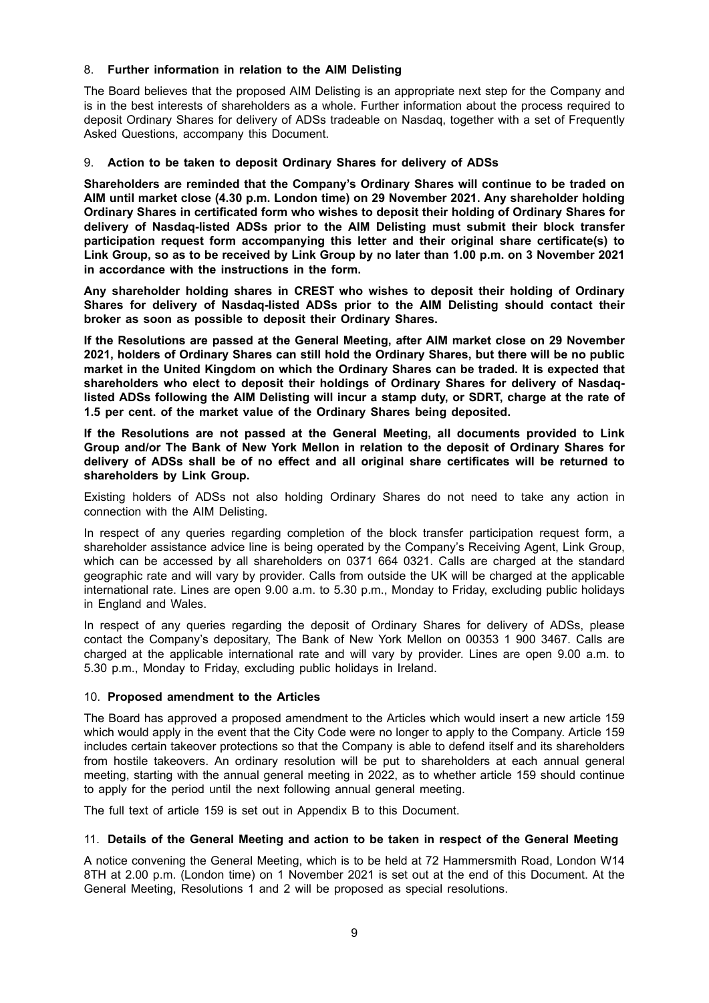## 8. **Further information in relation to the AIM Delisting**

The Board believes that the proposed AIM Delisting is an appropriate next step for the Company and is in the best interests of shareholders as a whole. Further information about the process required to deposit Ordinary Shares for delivery of ADSs tradeable on Nasdaq, together with a set of Frequently Asked Questions, accompany this Document.

## 9. **Action to be taken to deposit Ordinary Shares for delivery of ADSs**

**Shareholders are reminded that the Company's Ordinary Shares will continue to be traded on AIM until market close (4.30 p.m. London time) on 29 November 2021. Any shareholder holding Ordinary Shares in certificated form who wishes to deposit their holding of Ordinary Shares for delivery of Nasdaq-listed ADSs prior to the AIM Delisting must submit their block transfer participation request form accompanying this letter and their original share certificate(s) to** Link Group, so as to be received by Link Group by no later than 1.00 p.m. on 3 November 2021 **in accordance with the instructions in the form.**

**Any shareholder holding shares in CREST who wishes to deposit their holding of Ordinary Shares for delivery of Nasdaq-listed ADSs prior to the AIM Delisting should contact their broker as soon as possible to deposit their Ordinary Shares.**

**If the Resolutions are passed at the General Meeting, after AIM market close on 29 November 2021, holders of Ordinary Shares can still hold the Ordinary Shares, but there will be no public market in the United Kingdom on which the Ordinary Shares can be traded. It is expected that shareholders who elect to deposit their holdings of Ordinary Shares for delivery of Nasdaqlisted ADSs following the AIM Delisting will incur a stamp duty, or SDRT, charge at the rate of 1.5 per cent. of the market value of the Ordinary Shares being deposited.**

**If the Resolutions are not passed at the General Meeting, all documents provided to Link Group and/or The Bank of New York Mellon in relation to the deposit of Ordinary Shares for delivery of ADSs shall be of no effect and all original share certificates will be returned to shareholders by Link Group.**

Existing holders of ADSs not also holding Ordinary Shares do not need to take any action in connection with the AIM Delisting.

In respect of any queries regarding completion of the block transfer participation request form, a shareholder assistance advice line is being operated by the Company's Receiving Agent, Link Group, which can be accessed by all shareholders on 0371 664 0321. Calls are charged at the standard geographic rate and will vary by provider. Calls from outside the UK will be charged at the applicable international rate. Lines are open 9.00 a.m. to 5.30 p.m., Monday to Friday, excluding public holidays in England and Wales.

In respect of any queries regarding the deposit of Ordinary Shares for delivery of ADSs, please contact the Company's depositary, The Bank of New York Mellon on 00353 1 900 3467. Calls are charged at the applicable international rate and will vary by provider. Lines are open 9.00 a.m. to 5.30 p.m., Monday to Friday, excluding public holidays in Ireland.

#### 10. **Proposed amendment to the Articles**

The Board has approved a proposed amendment to the Articles which would insert a new article 159 which would apply in the event that the City Code were no longer to apply to the Company. Article 159 includes certain takeover protections so that the Company is able to defend itself and its shareholders from hostile takeovers. An ordinary resolution will be put to shareholders at each annual general meeting, starting with the annual general meeting in 2022, as to whether article 159 should continue to apply for the period until the next following annual general meeting.

The full text of article 159 is set out in Appendix B to this Document.

#### 11. **Details of the General Meeting and action to be taken in respect of the General Meeting**

A notice convening the General Meeting, which is to be held at 72 Hammersmith Road, London W14 8TH at 2.00 p.m. (London time) on 1 November 2021 is set out at the end of this Document. At the General Meeting, Resolutions 1 and 2 will be proposed as special resolutions.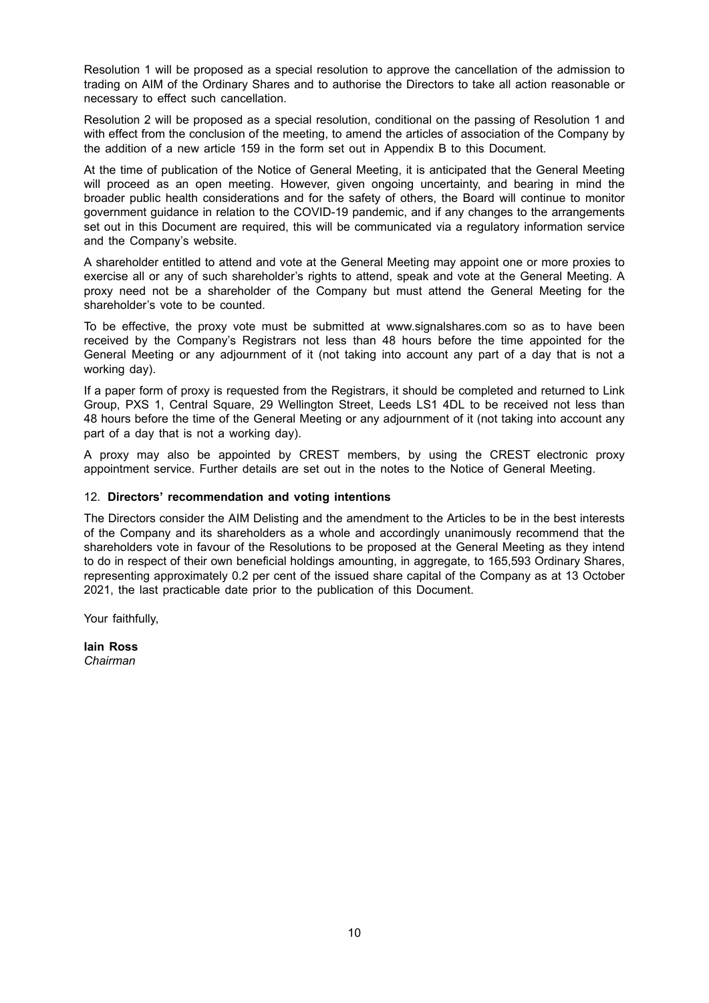Resolution 1 will be proposed as a special resolution to approve the cancellation of the admission to trading on AIM of the Ordinary Shares and to authorise the Directors to take all action reasonable or necessary to effect such cancellation.

Resolution 2 will be proposed as a special resolution, conditional on the passing of Resolution 1 and with effect from the conclusion of the meeting, to amend the articles of association of the Company by the addition of a new article 159 in the form set out in Appendix B to this Document.

At the time of publication of the Notice of General Meeting, it is anticipated that the General Meeting will proceed as an open meeting. However, given ongoing uncertainty, and bearing in mind the broader public health considerations and for the safety of others, the Board will continue to monitor government guidance in relation to the COVID-19 pandemic, and if any changes to the arrangements set out in this Document are required, this will be communicated via a regulatory information service and the Company's website.

A shareholder entitled to attend and vote at the General Meeting may appoint one or more proxies to exercise all or any of such shareholder's rights to attend, speak and vote at the General Meeting. A proxy need not be a shareholder of the Company but must attend the General Meeting for the shareholder's vote to be counted.

To be effective, the proxy vote must be submitted at www.signalshares.com so as to have been received by the Company's Registrars not less than 48 hours before the time appointed for the General Meeting or any adjournment of it (not taking into account any part of a day that is not a working day).

If a paper form of proxy is requested from the Registrars, it should be completed and returned to Link Group, PXS 1, Central Square, 29 Wellington Street, Leeds LS1 4DL to be received not less than 48 hours before the time of the General Meeting or any adjournment of it (not taking into account any part of a day that is not a working day).

A proxy may also be appointed by CREST members, by using the CREST electronic proxy appointment service. Further details are set out in the notes to the Notice of General Meeting.

## 12. **Directors' recommendation and voting intentions**

The Directors consider the AIM Delisting and the amendment to the Articles to be in the best interests of the Company and its shareholders as a whole and accordingly unanimously recommend that the shareholders vote in favour of the Resolutions to be proposed at the General Meeting as they intend to do in respect of their own beneficial holdings amounting, in aggregate, to 165,593 Ordinary Shares, representing approximately 0.2 per cent of the issued share capital of the Company as at 13 October 2021, the last practicable date prior to the publication of this Document.

Your faithfully,

**Iain Ross** *Chairman*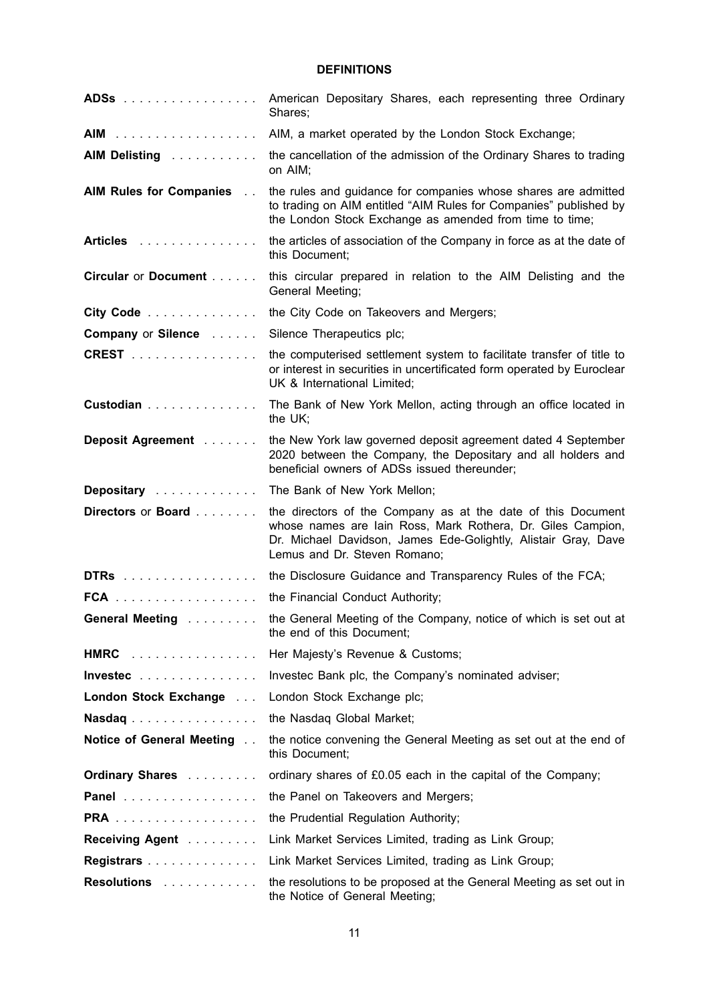## **DEFINITIONS**

| ADSs                                                           | American Depositary Shares, each representing three Ordinary<br>Shares;                                                                                                                                                       |
|----------------------------------------------------------------|-------------------------------------------------------------------------------------------------------------------------------------------------------------------------------------------------------------------------------|
| AIM                                                            | AIM, a market operated by the London Stock Exchange;                                                                                                                                                                          |
| AIM Delisting                                                  | the cancellation of the admission of the Ordinary Shares to trading<br>on AIM;                                                                                                                                                |
| AIM Rules for Companies                                        | the rules and guidance for companies whose shares are admitted<br>to trading on AIM entitled "AIM Rules for Companies" published by<br>the London Stock Exchange as amended from time to time;                                |
| Articles                                                       | the articles of association of the Company in force as at the date of<br>this Document;                                                                                                                                       |
| Circular or Document                                           | this circular prepared in relation to the AIM Delisting and the<br>General Meeting;                                                                                                                                           |
| City Code                                                      | the City Code on Takeovers and Mergers;                                                                                                                                                                                       |
| <b>Company or Silence Albument Company or Silence Albument</b> | Silence Therapeutics plc;                                                                                                                                                                                                     |
| <b>CREST</b>                                                   | the computerised settlement system to facilitate transfer of title to<br>or interest in securities in uncertificated form operated by Euroclear<br>UK & International Limited;                                                |
| Custodian                                                      | The Bank of New York Mellon, acting through an office located in<br>the UK:                                                                                                                                                   |
| Deposit Agreement                                              | the New York law governed deposit agreement dated 4 September<br>2020 between the Company, the Depositary and all holders and<br>beneficial owners of ADSs issued thereunder;                                                 |
| Depositary                                                     | The Bank of New York Mellon;                                                                                                                                                                                                  |
| Directors or Board                                             | the directors of the Company as at the date of this Document<br>whose names are lain Ross, Mark Rothera, Dr. Giles Campion,<br>Dr. Michael Davidson, James Ede-Golightly, Alistair Gray, Dave<br>Lemus and Dr. Steven Romano; |
| DTRS                                                           | the Disclosure Guidance and Transparency Rules of the FCA;                                                                                                                                                                    |
| $FCA$ ,                                                        | the Financial Conduct Authority;                                                                                                                                                                                              |
| General Meeting                                                | the General Meeting of the Company, notice of which is set out at<br>the end of this Document;                                                                                                                                |
| HMRC                                                           | Her Majesty's Revenue & Customs;                                                                                                                                                                                              |
| Invested                                                       | Investec Bank plc, the Company's nominated adviser;                                                                                                                                                                           |
| London Stock Exchange                                          | London Stock Exchange plc;                                                                                                                                                                                                    |
| Nasdaq                                                         | the Nasdaq Global Market;                                                                                                                                                                                                     |
| Notice of General Meeting                                      | the notice convening the General Meeting as set out at the end of<br>this Document;                                                                                                                                           |
| <b>Ordinary Shares</b>                                         | ordinary shares of £0.05 each in the capital of the Company;                                                                                                                                                                  |
| Panel                                                          | the Panel on Takeovers and Mergers;                                                                                                                                                                                           |
| <b>PRA</b>                                                     | the Prudential Regulation Authority;                                                                                                                                                                                          |
| Receiving Agent                                                | Link Market Services Limited, trading as Link Group;                                                                                                                                                                          |
| Registrars                                                     | Link Market Services Limited, trading as Link Group;                                                                                                                                                                          |
| <b>Resolutions</b>                                             | the resolutions to be proposed at the General Meeting as set out in<br>the Notice of General Meeting;                                                                                                                         |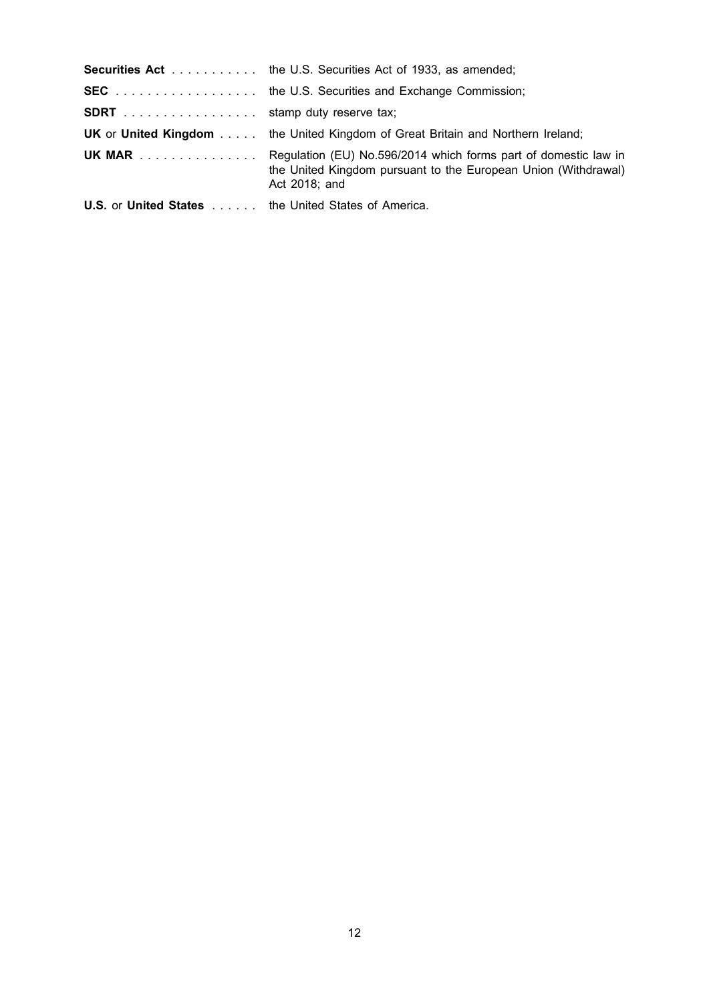|                                                                   | <b>Securities Act</b> the U.S. Securities Act of 1933, as amended;                                                                                               |
|-------------------------------------------------------------------|------------------------------------------------------------------------------------------------------------------------------------------------------------------|
|                                                                   | <b>SEC</b> the U.S. Securities and Exchange Commission;                                                                                                          |
| <b>SDRT</b> stamp duty reserve tax;                               |                                                                                                                                                                  |
|                                                                   | <b>UK</b> or <b>United Kingdom</b> the United Kingdom of Great Britain and Northern Ireland;                                                                     |
|                                                                   | <b>UK MAR</b> Regulation (EU) No.596/2014 which forms part of domestic law in<br>the United Kingdom pursuant to the European Union (Withdrawal)<br>Act 2018: and |
| <b>U.S.</b> or <b>United States</b> the United States of America. |                                                                                                                                                                  |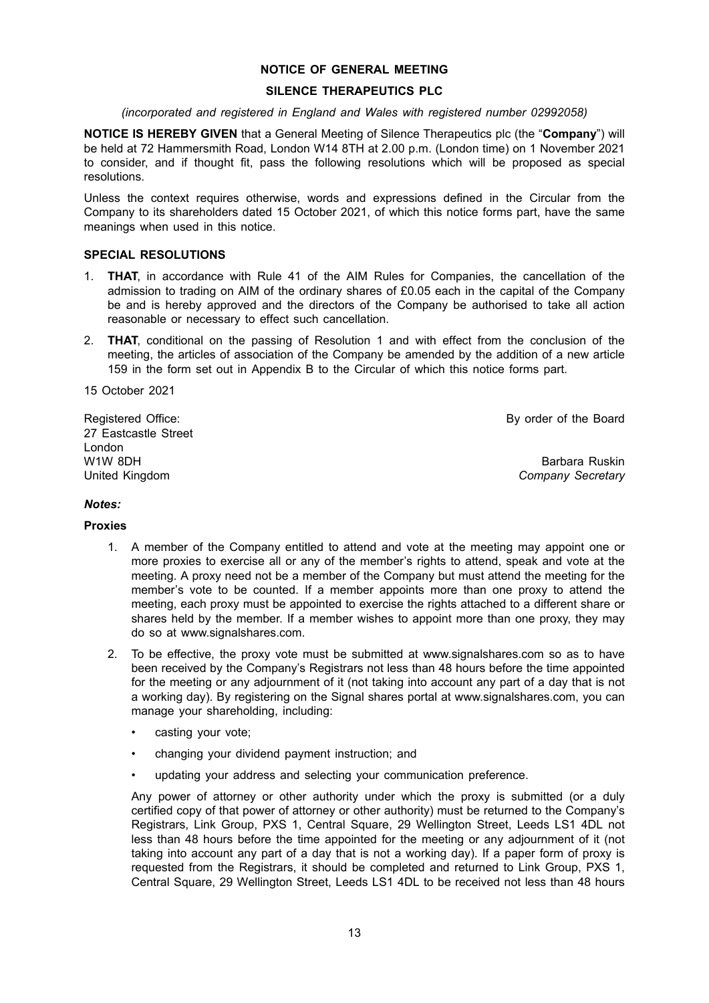## **NOTICE OF GENERAL MEETING**

#### **SILENCE THERAPEUTICS PLC**

#### *(incorporated and registered in England and Wales with registered number 02992058)*

**NOTICE IS HEREBY GIVEN** that a General Meeting of Silence Therapeutics plc (the "**Company**") will be held at 72 Hammersmith Road, London W14 8TH at 2.00 p.m. (London time) on 1 November 2021 to consider, and if thought fit, pass the following resolutions which will be proposed as special resolutions.

Unless the context requires otherwise, words and expressions defined in the Circular from the Company to its shareholders dated 15 October 2021, of which this notice forms part, have the same meanings when used in this notice.

#### **SPECIAL RESOLUTIONS**

- 1. **THAT**, in accordance with Rule 41 of the AIM Rules for Companies, the cancellation of the admission to trading on AIM of the ordinary shares of £0.05 each in the capital of the Company be and is hereby approved and the directors of the Company be authorised to take all action reasonable or necessary to effect such cancellation.
- 2. **THAT**, conditional on the passing of Resolution 1 and with effect from the conclusion of the meeting, the articles of association of the Company be amended by the addition of a new article 159 in the form set out in Appendix B to the Circular of which this notice forms part.

15 October 2021

By order of the Board

Registered Office: 27 Eastcastle Street London W1W 8DH United Kingdom

Barbara Ruskin *Company Secretary*

## *Notes:*

#### **Proxies**

- 1. A member of the Company entitled to attend and vote at the meeting may appoint one or more proxies to exercise all or any of the member's rights to attend, speak and vote at the meeting. A proxy need not be a member of the Company but must attend the meeting for the member's vote to be counted. If a member appoints more than one proxy to attend the meeting, each proxy must be appointed to exercise the rights attached to a different share or shares held by the member. If a member wishes to appoint more than one proxy, they may do so at www.signalshares.com.
- 2. To be effective, the proxy vote must be submitted at www.signalshares.com so as to have been received by the Company's Registrars not less than 48 hours before the time appointed for the meeting or any adjournment of it (not taking into account any part of a day that is not a working day). By registering on the Signal shares portal at www.signalshares.com, you can manage your shareholding, including:
	- casting your vote;
	- changing your dividend payment instruction; and
	- updating your address and selecting your communication preference.

Any power of attorney or other authority under which the proxy is submitted (or a duly certified copy of that power of attorney or other authority) must be returned to the Company's Registrars, Link Group, PXS 1, Central Square, 29 Wellington Street, Leeds LS1 4DL not less than 48 hours before the time appointed for the meeting or any adjournment of it (not taking into account any part of a day that is not a working day). If a paper form of proxy is requested from the Registrars, it should be completed and returned to Link Group, PXS 1, Central Square, 29 Wellington Street, Leeds LS1 4DL to be received not less than 48 hours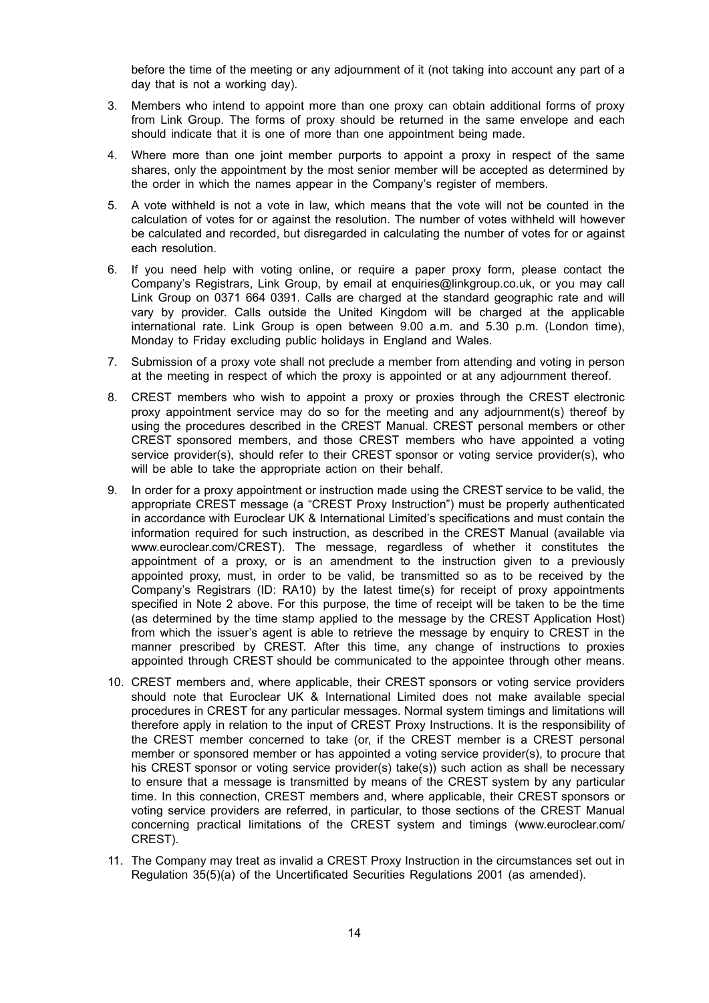before the time of the meeting or any adjournment of it (not taking into account any part of a day that is not a working day).

- 3. Members who intend to appoint more than one proxy can obtain additional forms of proxy from Link Group. The forms of proxy should be returned in the same envelope and each should indicate that it is one of more than one appointment being made.
- 4. Where more than one joint member purports to appoint a proxy in respect of the same shares, only the appointment by the most senior member will be accepted as determined by the order in which the names appear in the Company's register of members.
- 5. A vote withheld is not a vote in law, which means that the vote will not be counted in the calculation of votes for or against the resolution. The number of votes withheld will however be calculated and recorded, but disregarded in calculating the number of votes for or against each resolution.
- 6. If you need help with voting online, or require a paper proxy form, please contact the Company's Registrars, Link Group, by email at enquiries@linkgroup.co.uk, or you may call Link Group on 0371 664 0391. Calls are charged at the standard geographic rate and will vary by provider. Calls outside the United Kingdom will be charged at the applicable international rate. Link Group is open between 9.00 a.m. and 5.30 p.m. (London time), Monday to Friday excluding public holidays in England and Wales.
- 7. Submission of a proxy vote shall not preclude a member from attending and voting in person at the meeting in respect of which the proxy is appointed or at any adjournment thereof.
- 8. CREST members who wish to appoint a proxy or proxies through the CREST electronic proxy appointment service may do so for the meeting and any adjournment(s) thereof by using the procedures described in the CREST Manual. CREST personal members or other CREST sponsored members, and those CREST members who have appointed a voting service provider(s), should refer to their CREST sponsor or voting service provider(s), who will be able to take the appropriate action on their behalf.
- 9. In order for a proxy appointment or instruction made using the CREST service to be valid, the appropriate CREST message (a "CREST Proxy Instruction") must be properly authenticated in accordance with Euroclear UK & International Limited's specifications and must contain the information required for such instruction, as described in the CREST Manual (available via www.euroclear.com/CREST). The message, regardless of whether it constitutes the appointment of a proxy, or is an amendment to the instruction given to a previously appointed proxy, must, in order to be valid, be transmitted so as to be received by the Company's Registrars (ID: RA10) by the latest time(s) for receipt of proxy appointments specified in Note 2 above. For this purpose, the time of receipt will be taken to be the time (as determined by the time stamp applied to the message by the CREST Application Host) from which the issuer's agent is able to retrieve the message by enquiry to CREST in the manner prescribed by CREST. After this time, any change of instructions to proxies appointed through CREST should be communicated to the appointee through other means.
- 10. CREST members and, where applicable, their CREST sponsors or voting service providers should note that Euroclear UK & International Limited does not make available special procedures in CREST for any particular messages. Normal system timings and limitations will therefore apply in relation to the input of CREST Proxy Instructions. It is the responsibility of the CREST member concerned to take (or, if the CREST member is a CREST personal member or sponsored member or has appointed a voting service provider(s), to procure that his CREST sponsor or voting service provider(s) take(s)) such action as shall be necessary to ensure that a message is transmitted by means of the CREST system by any particular time. In this connection, CREST members and, where applicable, their CREST sponsors or voting service providers are referred, in particular, to those sections of the CREST Manual concerning practical limitations of the CREST system and timings (www.euroclear.com/ CREST).
- 11. The Company may treat as invalid a CREST Proxy Instruction in the circumstances set out in Regulation 35(5)(a) of the Uncertificated Securities Regulations 2001 (as amended).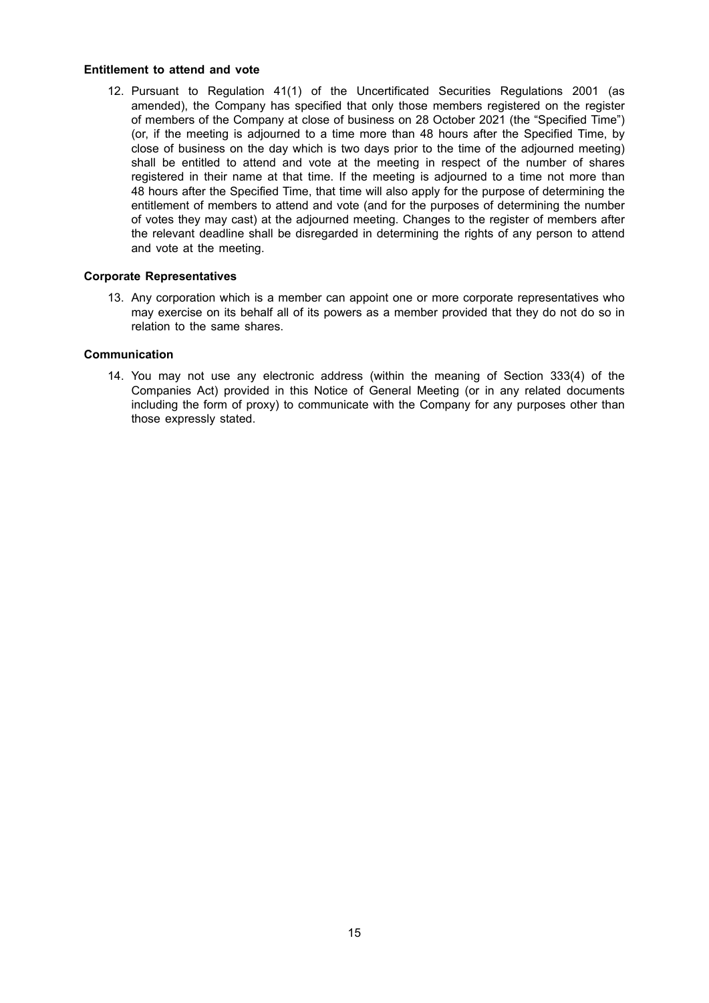#### **Entitlement to attend and vote**

12. Pursuant to Regulation 41(1) of the Uncertificated Securities Regulations 2001 (as amended), the Company has specified that only those members registered on the register of members of the Company at close of business on 28 October 2021 (the "Specified Time") (or, if the meeting is adjourned to a time more than 48 hours after the Specified Time, by close of business on the day which is two days prior to the time of the adjourned meeting) shall be entitled to attend and vote at the meeting in respect of the number of shares registered in their name at that time. If the meeting is adjourned to a time not more than 48 hours after the Specified Time, that time will also apply for the purpose of determining the entitlement of members to attend and vote (and for the purposes of determining the number of votes they may cast) at the adjourned meeting. Changes to the register of members after the relevant deadline shall be disregarded in determining the rights of any person to attend and vote at the meeting.

#### **Corporate Representatives**

13. Any corporation which is a member can appoint one or more corporate representatives who may exercise on its behalf all of its powers as a member provided that they do not do so in relation to the same shares.

#### **Communication**

14. You may not use any electronic address (within the meaning of Section 333(4) of the Companies Act) provided in this Notice of General Meeting (or in any related documents including the form of proxy) to communicate with the Company for any purposes other than those expressly stated.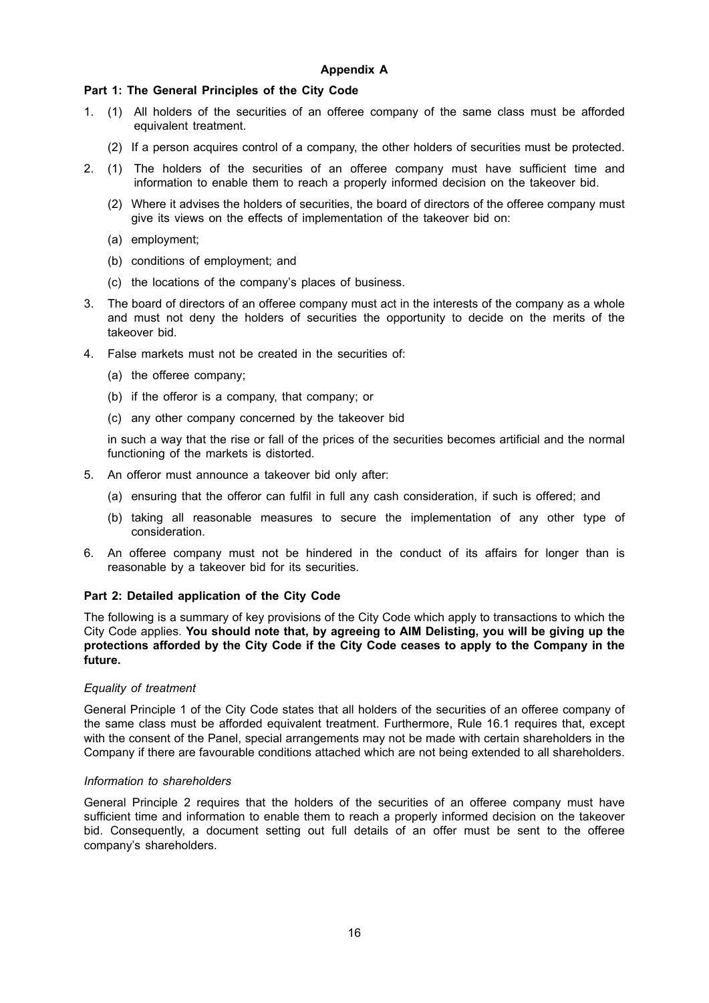## **Part 1: The General Principles of the City Code**

- 1. (1) All holders of the securities of an offeree company of the same class must be afforded equivalent treatment.
	- (2) If a person acquires control of a company, the other holders of securities must be protected.
- 2. (1) The holders of the securities of an offeree company must have sufficient time and information to enable them to reach a properly informed decision on the takeover bid.
	- (2) Where it advises the holders of securities, the board of directors of the offeree company must give its views on the effects of implementation of the takeover bid on:
	- (a) employment;
	- (b) conditions of employment; and
	- (c) the locations of the company's places of business.
- 3. The board of directors of an offeree company must act in the interests of the company as a whole and must not deny the holders of securities the opportunity to decide on the merits of the takeover bid.
- 4. False markets must not be created in the securities of:
	- (a) the offeree company;
	- (b) if the offeror is a company, that company; or
	- (c) any other company concerned by the takeover bid

in such a way that the rise or fall of the prices of the securities becomes artificial and the normal functioning of the markets is distorted.

- 5. An offeror must announce a takeover bid only after:
	- (a) ensuring that the offeror can fulfil in full any cash consideration, if such is offered; and
	- (b) taking all reasonable measures to secure the implementation of any other type of consideration.
- 6. An offeree company must not be hindered in the conduct of its affairs for longer than is reasonable by a takeover bid for its securities.

## **Part 2: Detailed application of the City Code**

The following is a summary of key provisions of the City Code which apply to transactions to which the City Code applies. **You should note that, by agreeing to AIM Delisting, you will be giving up the protections afforded by the City Code if the City Code ceases to apply to the Company in the future.**

#### *Equality of treatment*

General Principle 1 of the City Code states that all holders of the securities of an offeree company of the same class must be afforded equivalent treatment. Furthermore, Rule 16.1 requires that, except with the consent of the Panel, special arrangements may not be made with certain shareholders in the Company if there are favourable conditions attached which are not being extended to all shareholders.

## *Information to shareholders*

General Principle 2 requires that the holders of the securities of an offeree company must have sufficient time and information to enable them to reach a properly informed decision on the takeover bid. Consequently, a document setting out full details of an offer must be sent to the offeree company's shareholders.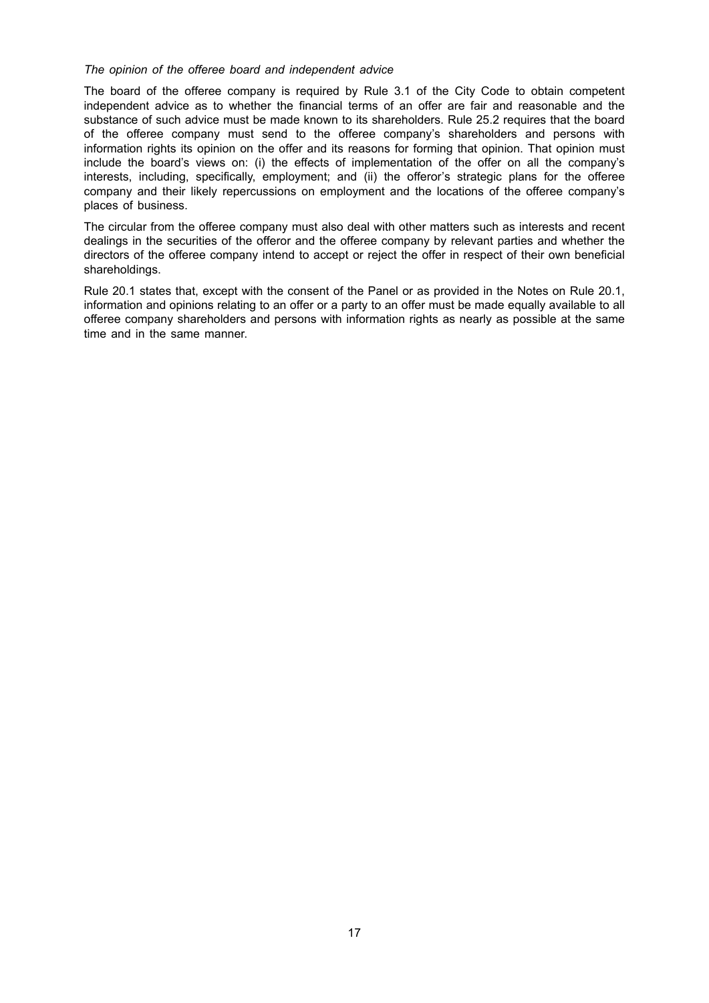#### *The opinion of the offeree board and independent advice*

The board of the offeree company is required by Rule 3.1 of the City Code to obtain competent independent advice as to whether the financial terms of an offer are fair and reasonable and the substance of such advice must be made known to its shareholders. Rule 25.2 requires that the board of the offeree company must send to the offeree company's shareholders and persons with information rights its opinion on the offer and its reasons for forming that opinion. That opinion must include the board's views on: (i) the effects of implementation of the offer on all the company's interests, including, specifically, employment; and (ii) the offeror's strategic plans for the offeree company and their likely repercussions on employment and the locations of the offeree company's places of business.

The circular from the offeree company must also deal with other matters such as interests and recent dealings in the securities of the offeror and the offeree company by relevant parties and whether the directors of the offeree company intend to accept or reject the offer in respect of their own beneficial shareholdings.

Rule 20.1 states that, except with the consent of the Panel or as provided in the Notes on Rule 20.1, information and opinions relating to an offer or a party to an offer must be made equally available to all offeree company shareholders and persons with information rights as nearly as possible at the same time and in the same manner.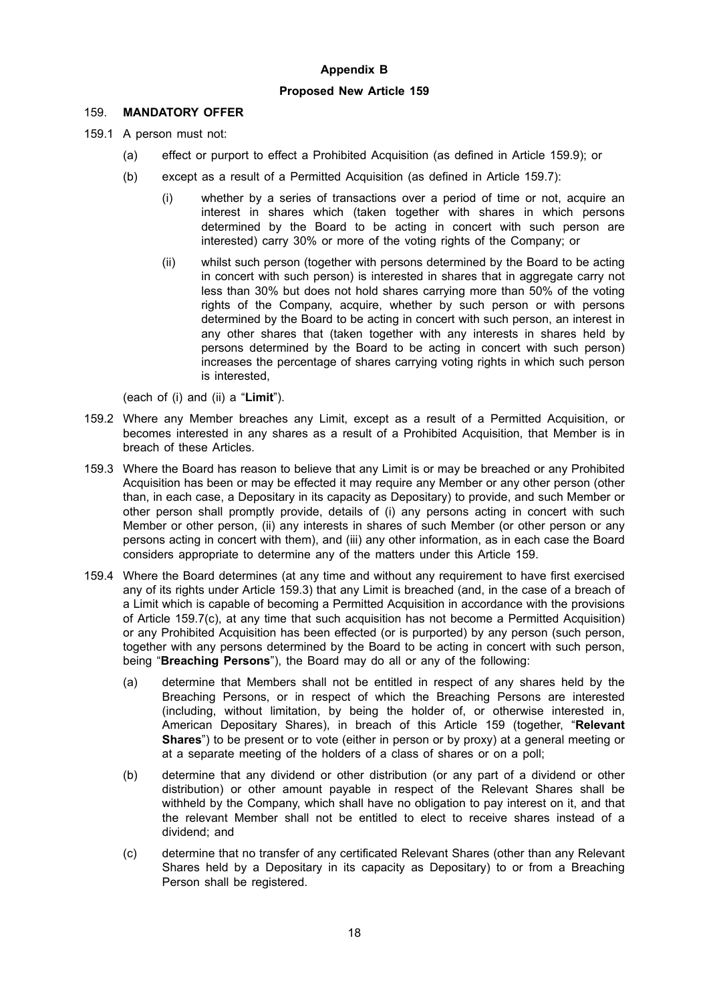## **Appendix B**

### **Proposed New Article 159**

## 159. **MANDATORY OFFER**

- 159.1 A person must not:
	- (a) effect or purport to effect a Prohibited Acquisition (as defined in Article 159.9); or
	- (b) except as a result of a Permitted Acquisition (as defined in Article 159.7):
		- (i) whether by a series of transactions over a period of time or not, acquire an interest in shares which (taken together with shares in which persons determined by the Board to be acting in concert with such person are interested) carry 30% or more of the voting rights of the Company; or
		- (ii) whilst such person (together with persons determined by the Board to be acting in concert with such person) is interested in shares that in aggregate carry not less than 30% but does not hold shares carrying more than 50% of the voting rights of the Company, acquire, whether by such person or with persons determined by the Board to be acting in concert with such person, an interest in any other shares that (taken together with any interests in shares held by persons determined by the Board to be acting in concert with such person) increases the percentage of shares carrying voting rights in which such person is interested,

(each of (i) and (ii) a "**Limit**").

- 159.2 Where any Member breaches any Limit, except as a result of a Permitted Acquisition, or becomes interested in any shares as a result of a Prohibited Acquisition, that Member is in breach of these Articles.
- 159.3 Where the Board has reason to believe that any Limit is or may be breached or any Prohibited Acquisition has been or may be effected it may require any Member or any other person (other than, in each case, a Depositary in its capacity as Depositary) to provide, and such Member or other person shall promptly provide, details of (i) any persons acting in concert with such Member or other person, (ii) any interests in shares of such Member (or other person or any persons acting in concert with them), and (iii) any other information, as in each case the Board considers appropriate to determine any of the matters under this Article 159.
- 159.4 Where the Board determines (at any time and without any requirement to have first exercised any of its rights under Article 159.3) that any Limit is breached (and, in the case of a breach of a Limit which is capable of becoming a Permitted Acquisition in accordance with the provisions of Article 159.7(c), at any time that such acquisition has not become a Permitted Acquisition) or any Prohibited Acquisition has been effected (or is purported) by any person (such person, together with any persons determined by the Board to be acting in concert with such person, being "**Breaching Persons**"), the Board may do all or any of the following:
	- (a) determine that Members shall not be entitled in respect of any shares held by the Breaching Persons, or in respect of which the Breaching Persons are interested (including, without limitation, by being the holder of, or otherwise interested in, American Depositary Shares), in breach of this Article 159 (together, "**Relevant Shares**") to be present or to vote (either in person or by proxy) at a general meeting or at a separate meeting of the holders of a class of shares or on a poll;
	- (b) determine that any dividend or other distribution (or any part of a dividend or other distribution) or other amount payable in respect of the Relevant Shares shall be withheld by the Company, which shall have no obligation to pay interest on it, and that the relevant Member shall not be entitled to elect to receive shares instead of a dividend; and
	- (c) determine that no transfer of any certificated Relevant Shares (other than any Relevant Shares held by a Depositary in its capacity as Depositary) to or from a Breaching Person shall be registered.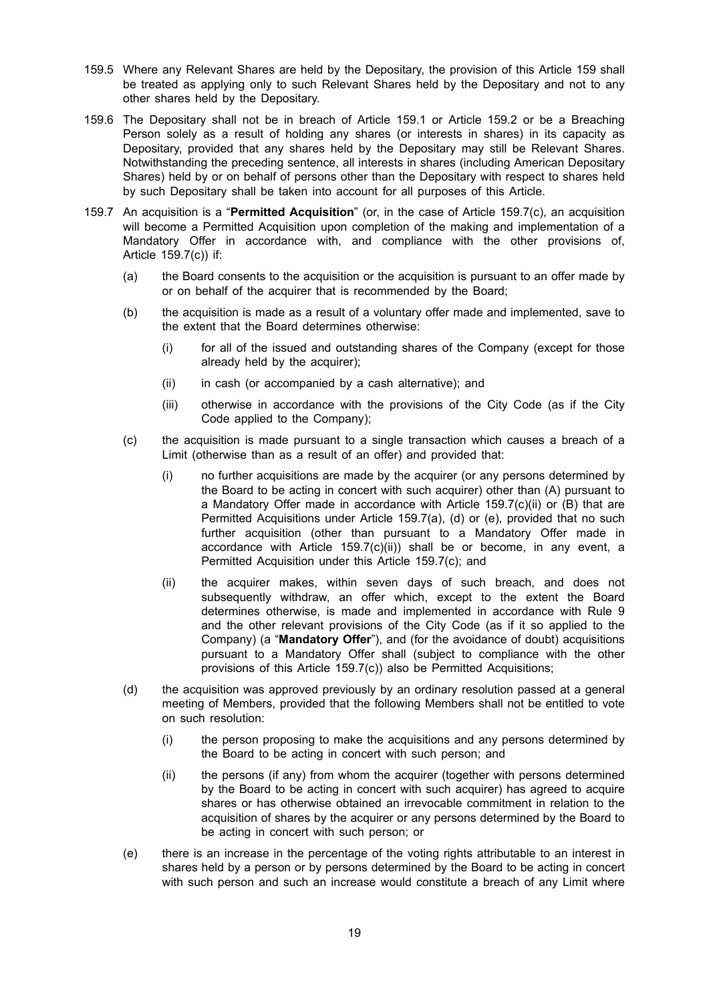- 159.5 Where any Relevant Shares are held by the Depositary, the provision of this Article 159 shall be treated as applying only to such Relevant Shares held by the Depositary and not to any other shares held by the Depositary.
- 159.6 The Depositary shall not be in breach of Article 159.1 or Article 159.2 or be a Breaching Person solely as a result of holding any shares (or interests in shares) in its capacity as Depositary, provided that any shares held by the Depositary may still be Relevant Shares. Notwithstanding the preceding sentence, all interests in shares (including American Depositary Shares) held by or on behalf of persons other than the Depositary with respect to shares held by such Depositary shall be taken into account for all purposes of this Article.
- 159.7 An acquisition is a "**Permitted Acquisition**" (or, in the case of Article 159.7(c), an acquisition will become a Permitted Acquisition upon completion of the making and implementation of a Mandatory Offer in accordance with, and compliance with the other provisions of, Article 159.7(c)) if:
	- (a) the Board consents to the acquisition or the acquisition is pursuant to an offer made by or on behalf of the acquirer that is recommended by the Board;
	- (b) the acquisition is made as a result of a voluntary offer made and implemented, save to the extent that the Board determines otherwise:
		- (i) for all of the issued and outstanding shares of the Company (except for those already held by the acquirer);
		- (ii) in cash (or accompanied by a cash alternative); and
		- (iii) otherwise in accordance with the provisions of the City Code (as if the City Code applied to the Company);
	- (c) the acquisition is made pursuant to a single transaction which causes a breach of a Limit (otherwise than as a result of an offer) and provided that:
		- (i) no further acquisitions are made by the acquirer (or any persons determined by the Board to be acting in concert with such acquirer) other than (A) pursuant to a Mandatory Offer made in accordance with Article  $159.7(c)(ii)$  or (B) that are Permitted Acquisitions under Article 159.7(a), (d) or (e), provided that no such further acquisition (other than pursuant to a Mandatory Offer made in accordance with Article 159.7(c)(ii)) shall be or become, in any event, a Permitted Acquisition under this Article 159.7(c); and
		- (ii) the acquirer makes, within seven days of such breach, and does not subsequently withdraw, an offer which, except to the extent the Board determines otherwise, is made and implemented in accordance with Rule 9 and the other relevant provisions of the City Code (as if it so applied to the Company) (a "**Mandatory Offer**"), and (for the avoidance of doubt) acquisitions pursuant to a Mandatory Offer shall (subject to compliance with the other provisions of this Article 159.7(c)) also be Permitted Acquisitions;
	- (d) the acquisition was approved previously by an ordinary resolution passed at a general meeting of Members, provided that the following Members shall not be entitled to vote on such resolution:
		- (i) the person proposing to make the acquisitions and any persons determined by the Board to be acting in concert with such person; and
		- (ii) the persons (if any) from whom the acquirer (together with persons determined by the Board to be acting in concert with such acquirer) has agreed to acquire shares or has otherwise obtained an irrevocable commitment in relation to the acquisition of shares by the acquirer or any persons determined by the Board to be acting in concert with such person; or
	- (e) there is an increase in the percentage of the voting rights attributable to an interest in shares held by a person or by persons determined by the Board to be acting in concert with such person and such an increase would constitute a breach of any Limit where